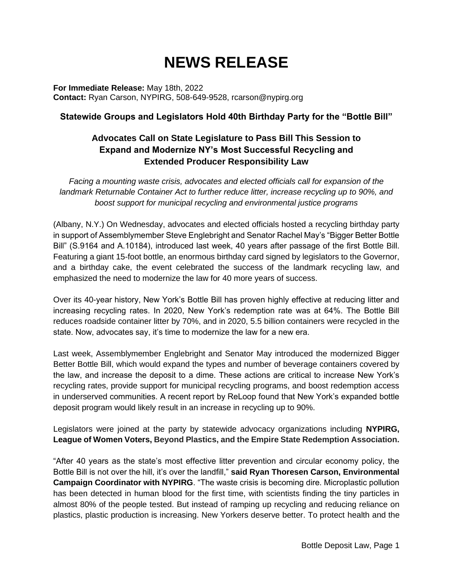# **NEWS RELEASE**

**For Immediate Release:** May 18th, 2022 **Contact:** Ryan Carson, NYPIRG, 508-649-9528, rcarson@nypirg.org

#### **Statewide Groups and Legislators Hold 40th Birthday Party for the "Bottle Bill"**

## **Advocates Call on State Legislature to Pass Bill This Session to Expand and Modernize NY's Most Successful Recycling and Extended Producer Responsibility Law**

*Facing a mounting waste crisis, advocates and elected officials call for expansion of the landmark Returnable Container Act to further reduce litter, increase recycling up to 90%, and boost support for municipal recycling and environmental justice programs*

(Albany, N.Y.) On Wednesday, advocates and elected officials hosted a recycling birthday party in support of Assemblymember Steve Englebright and Senator Rachel May's "Bigger Better Bottle Bill" (S.9164 and A.10184), introduced last week, 40 years after passage of the first Bottle Bill. Featuring a giant 15-foot bottle, an enormous birthday card signed by legislators to the Governor, and a birthday cake, the event celebrated the success of the landmark recycling law, and emphasized the need to modernize the law for 40 more years of success.

Over its 40-year history, New York's Bottle Bill has proven highly effective at reducing litter and increasing recycling rates. In 2020, New York's redemption rate was at 64%. The Bottle Bill reduces roadside container litter by 70%, and in 2020, 5.5 billion containers were recycled in the state. Now, advocates say, it's time to modernize the law for a new era.

Last week, Assemblymember Englebright and Senator May introduced the modernized Bigger Better Bottle Bill, which would expand the types and number of beverage containers covered by the law, and increase the deposit to a dime. These actions are critical to increase New York's recycling rates, provide support for municipal recycling programs, and boost redemption access in underserved communities. A recent report by ReLoop found that New York's expanded bottle deposit program would likely result in an increase in recycling up to 90%.

Legislators were joined at the party by statewide advocacy organizations including **NYPIRG, League of Women Voters, Beyond Plastics, and the Empire State Redemption Association.**

"After 40 years as the state's most effective litter prevention and circular economy policy, the Bottle Bill is not over the hill, it's over the landfill," **said Ryan Thoresen Carson, Environmental Campaign Coordinator with NYPIRG**. "The waste crisis is becoming dire. Microplastic pollution has been detected in human blood for the first time, with scientists finding the tiny particles in almost 80% of the people tested. But instead of ramping up recycling and reducing reliance on plastics, plastic production is increasing. New Yorkers deserve better. To protect health and the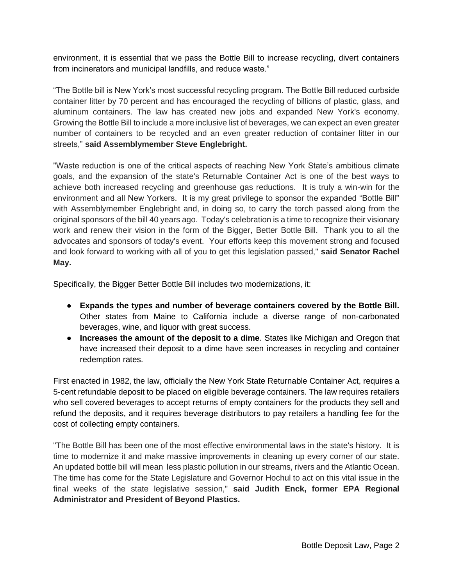environment, it is essential that we pass the Bottle Bill to increase recycling, divert containers from incinerators and municipal landfills, and reduce waste."

"The Bottle bill is New York's most successful recycling program. The Bottle Bill reduced curbside container litter by 70 percent and has encouraged the recycling of billions of plastic, glass, and aluminum containers. The law has created new jobs and expanded New York's economy. Growing the Bottle Bill to include a more inclusive list of beverages, we can expect an even greater number of containers to be recycled and an even greater reduction of container litter in our streets," **said Assemblymember Steve Englebright.** 

"Waste reduction is one of the critical aspects of reaching New York State's ambitious climate goals, and the expansion of the state's Returnable Container Act is one of the best ways to achieve both increased recycling and greenhouse gas reductions. It is truly a win-win for the environment and all New Yorkers. It is my great privilege to sponsor the expanded "Bottle Bill" with Assemblymember Englebright and, in doing so, to carry the torch passed along from the original sponsors of the bill 40 years ago. Today's celebration is a time to recognize their visionary work and renew their vision in the form of the Bigger, Better Bottle Bill. Thank you to all the advocates and sponsors of today's event. Your efforts keep this movement strong and focused and look forward to working with all of you to get this legislation passed," **said Senator Rachel May.** 

Specifically, the Bigger Better Bottle Bill includes two modernizations, it:

- **Expands the types and number of beverage containers covered by the Bottle Bill.** Other states from Maine to California include a diverse range of non-carbonated beverages, wine, and liquor with great success.
- **Increases the amount of the deposit to a dime**. States like Michigan and Oregon that have increased their deposit to a dime have seen increases in recycling and container redemption rates.

First enacted in 1982, the law, officially the New York State Returnable Container Act, requires a 5-cent refundable deposit to be placed on eligible beverage containers. The law requires retailers who sell covered beverages to accept returns of empty containers for the products they sell and refund the deposits, and it requires beverage distributors to pay retailers a handling fee for the cost of collecting empty containers.

"The Bottle Bill has been one of the most effective environmental laws in the state's history. It is time to modernize it and make massive improvements in cleaning up every corner of our state. An updated bottle bill will mean less plastic pollution in our streams, rivers and the Atlantic Ocean. The time has come for the State Legislature and Governor Hochul to act on this vital issue in the final weeks of the state legislative session," **said Judith Enck, former EPA Regional Administrator and President of Beyond Plastics.**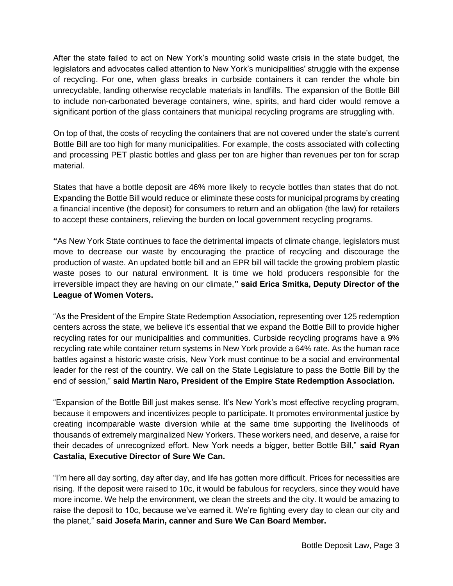After the state failed to act on New York's mounting solid waste crisis in the state budget, the legislators and advocates called attention to New York's municipalities' struggle with the expense of recycling. For one, when glass breaks in curbside containers it can render the whole bin unrecyclable, landing otherwise recyclable materials in landfills. The expansion of the Bottle Bill to include non-carbonated beverage containers, wine, spirits, and hard cider would remove a significant portion of the glass containers that municipal recycling programs are struggling with.

On top of that, the costs of recycling the containers that are not covered under the state's current Bottle Bill are too high for many municipalities. For example, the costs associated with collecting and processing PET plastic bottles and glass per ton are higher than revenues per ton for scrap material.

States that have a bottle deposit are 46% more likely to recycle bottles than states that do not. Expanding the Bottle Bill would reduce or eliminate these costs for municipal programs by creating a financial incentive (the deposit) for consumers to return and an obligation (the law) for retailers to accept these containers, relieving the burden on local government recycling programs.

**"**As New York State continues to face the detrimental impacts of climate change, legislators must move to decrease our waste by encouraging the practice of recycling and discourage the production of waste. An updated bottle bill and an EPR bill will tackle the growing problem plastic waste poses to our natural environment. It is time we hold producers responsible for the irreversible impact they are having on our climate,**" said Erica Smitka, Deputy Director of the League of Women Voters.** 

"As the President of the Empire State Redemption Association, representing over 125 redemption centers across the state, we believe it's essential that we expand the Bottle Bill to provide higher recycling rates for our municipalities and communities. Curbside recycling programs have a 9% recycling rate while container return systems in New York provide a 64% rate. As the human race battles against a historic waste crisis, New York must continue to be a social and environmental leader for the rest of the country. We call on the State Legislature to pass the Bottle Bill by the end of session," **said Martin Naro, President of the Empire State Redemption Association.**

"Expansion of the Bottle Bill just makes sense. It's New York's most effective recycling program, because it empowers and incentivizes people to participate. It promotes environmental justice by creating incomparable waste diversion while at the same time supporting the livelihoods of thousands of extremely marginalized New Yorkers. These workers need, and deserve, a raise for their decades of unrecognized effort. New York needs a bigger, better Bottle Bill," **said Ryan Castalia, Executive Director of Sure We Can.** 

"I'm here all day sorting, day after day, and life has gotten more difficult. Prices for necessities are rising. If the deposit were raised to 10c, it would be fabulous for recyclers, since they would have more income. We help the environment, we clean the streets and the city. It would be amazing to raise the deposit to 10c, because we've earned it. We're fighting every day to clean our city and the planet," **said Josefa Marin, canner and Sure We Can Board Member.**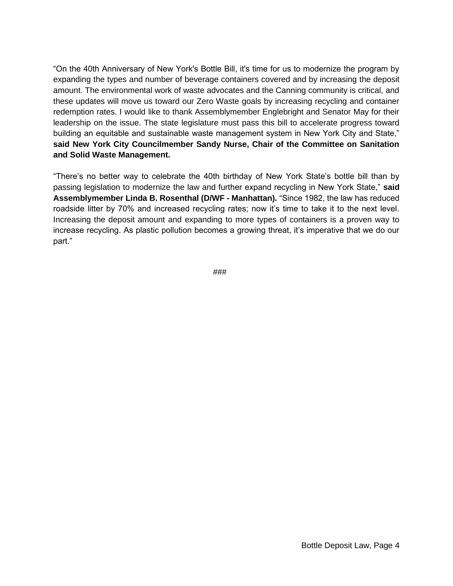"On the 40th Anniversary of New York's Bottle Bill, it's time for us to modernize the program by expanding the types and number of beverage containers covered and by increasing the deposit amount. The environmental work of waste advocates and the Canning community is critical, and these updates will move us toward our Zero Waste goals by increasing recycling and container redemption rates. I would like to thank Assemblymember Englebright and Senator May for their leadership on the issue. The state legislature must pass this bill to accelerate progress toward building an equitable and sustainable waste management system in New York City and State," **said New York City Councilmember Sandy Nurse, Chair of the Committee on Sanitation and Solid Waste Management.** 

"There's no better way to celebrate the 40th birthday of New York State's bottle bill than by passing legislation to modernize the law and further expand recycling in New York State," **said Assemblymember Linda B. Rosenthal (D/WF - Manhattan).** "Since 1982, the law has reduced roadside litter by 70% and increased recycling rates; now it's time to take it to the next level. Increasing the deposit amount and expanding to more types of containers is a proven way to increase recycling. As plastic pollution becomes a growing threat, it's imperative that we do our part."

###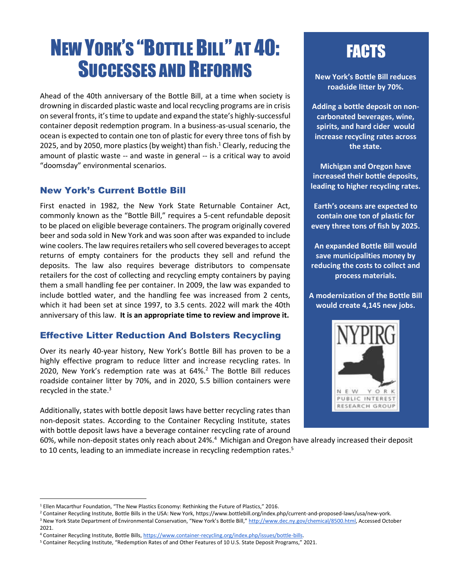# NEW YORK'S "BOTTLE BILL" AT 40: SUCCESSES AND REFORMS

Ahead of the 40th anniversary of the Bottle Bill, at a time when society is drowning in discarded plastic waste and local recycling programs are in crisis on several fronts, it's time to update and expand the state's highly-successful container deposit redemption program. In a business-as-usual scenario, the ocean is expected to contain one ton of plastic for every three tons of fish by 2025, and by 2050, more plastics (by weight) than fish.<sup>1</sup> Clearly, reducing the amount of plastic waste -- and waste in general -- is a critical way to avoid "doomsday" environmental scenarios.

#### New York's Current Bottle Bill

First enacted in 1982, the New York State Returnable Container Act, commonly known as the "Bottle Bill," requires a 5-cent refundable deposit to be placed on eligible beverage containers. The program originally covered beer and soda sold in New York and was soon after was expanded to include wine coolers. The law requires retailers who sell covered beverages to accept returns of empty containers for the products they sell and refund the deposits. The law also requires beverage distributors to compensate retailers for the cost of collecting and recycling empty containers by paying them a small handling fee per container. In 2009, the law was expanded to include bottled water, and the handling fee was increased from 2 cents, which it had been set at since 1997, to 3.5 cents. 2022 will mark the 40th anniversary of this law. **It is an appropriate time to review and improve it.**

#### Effective Litter Reduction And Bolsters Recycling

Over its nearly 40-year history, New York's Bottle Bill has proven to be a highly effective program to reduce litter and increase recycling rates. In 2020, New York's redemption rate was at 64%.<sup>2</sup> The Bottle Bill reduces roadside container litter by 70%, and in 2020, 5.5 billion containers were recycled in the state. $3$ 

Additionally, states with bottle deposit laws have better recycling rates than non-deposit states. According to the Container Recycling Institute, states with bottle deposit laws have a beverage container recycling rate of around **FACTS** 

**New York's Bottle Bill reduces roadside litter by 70%.**

**Adding a bottle deposit on noncarbonated beverages, wine, spirits, and hard cider would increase recycling rates across the state.** 

**Michigan and Oregon have increased their bottle deposits, leading to higher recycling rates.**

**Earth's oceans are expected to contain one ton of plastic for every three tons of fish by 2025.**

**An expanded Bottle Bill would save municipalities money by reducing the costs to collect and process materials.**

**A modernization of the Bottle Bill would create 4,145 new jobs.** 



60%, while non-deposit states only reach about 24%.<sup>4</sup> Michigan and Oregon have already increased their deposit to 10 cents, leading to an immediate increase in recycling redemption rates.<sup>5</sup>

<sup>2</sup> Container Recycling Institute, Bottle Bills in the USA: New York, [https://www.bottlebill.org/index.php/current-and-proposed-laws/usa/new-york.](https://www.bottlebill.org/index.php/current-and-proposed-laws/usa/new-york) <sup>3</sup> New York State Department of Environmental Conservation, "New York's Bottle Bill," [http://www.dec.ny.gov/chemical/8500.html,](http://www.dec.ny.gov/chemical/8500.html) Accessed October 2021.

<sup>1</sup> Ellen Macarthur Foundation, "The New Plastics Economy: Rethinking the Future of Plastics," 2016.

<sup>4</sup> Container Recycling Institute, Bottle Bills, [https://www.container-recycling.org/index.php/issues/bottle-bills.](https://www.container-recycling.org/index.php/issues/bottle-bills) 

<sup>5</sup> Container Recycling Institute, "Redemption Rates of and Other Features of 10 U.S. State Deposit Programs," 2021.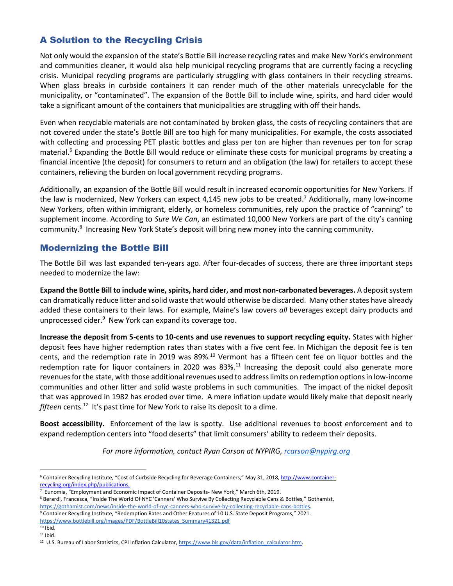### A Solution to the Recycling Crisis

Not only would the expansion of the state's Bottle Bill increase recycling rates and make New York's environment and communities cleaner, it would also help municipal recycling programs that are currently facing a recycling crisis. Municipal recycling programs are particularly struggling with glass containers in their recycling streams. When glass breaks in curbside containers it can render much of the other materials unrecyclable for the municipality, or "contaminated". The expansion of the Bottle Bill to include wine, spirits, and hard cider would take a significant amount of the containers that municipalities are struggling with off their hands.

Even when recyclable materials are not contaminated by broken glass, the costs of recycling containers that are not covered under the state's Bottle Bill are too high for many municipalities. For example, the costs associated with collecting and processing PET plastic bottles and glass per ton are higher than revenues per ton for scrap material.<sup>6</sup> Expanding the Bottle Bill would reduce or eliminate these costs for municipal programs by creating a financial incentive (the deposit) for consumers to return and an obligation (the law) for retailers to accept these containers, relieving the burden on local government recycling programs.

Additionally, an expansion of the Bottle Bill would result in increased economic opportunities for New Yorkers. If the law is modernized, New Yorkers can expect 4,145 new jobs to be created.<sup>7</sup> Additionally, many low-income New Yorkers, often within immigrant, elderly, or homeless communities, rely upon the practice of "canning" to supplement income. According to *Sure We Can*, an estimated 10,000 New Yorkers are part of the city's canning community.<sup>8</sup> Increasing New York State's deposit will bring new money into the canning community.

#### Modernizing the Bottle Bill

The Bottle Bill was last expanded ten-years ago. After four-decades of success, there are three important steps needed to modernize the law:

**Expand the Bottle Bill to include wine, spirits, hard cider, and most non-carbonated beverages.** A deposit system can dramatically reduce litter and solid waste that would otherwise be discarded. Many other states have already added these containers to their laws. For example, Maine's law covers *all* beverages except dairy products and unprocessed cider.<sup>9</sup> New York can expand its coverage too.

**Increase the deposit from 5-cents to 10-cents and use revenues to support recycling equity.** States with higher deposit fees have higher redemption rates than states with a five cent fee. In Michigan the deposit fee is ten cents, and the redemption rate in 2019 was 89%.<sup>10</sup> Vermont has a fifteen cent fee on liquor bottles and the redemption rate for liquor containers in 2020 was 83%.<sup>11</sup> Increasing the deposit could also generate more revenues for the state, with those additional revenues used to address limits on redemption options in low-income communities and other litter and solid waste problems in such communities. The impact of the nickel deposit that was approved in 1982 has eroded over time. A mere inflation update would likely make that deposit nearly fifteen cents.<sup>12</sup> It's past time for New York to raise its deposit to a dime.

**Boost accessibility.** Enforcement of the law is spotty. Use additional revenues to boost enforcement and to expand redemption centers into "food deserts" that limit consumers' ability to redeem their deposits.

*For more information, contact Ryan Carson at NYPIRG, [rcarson@nypirg.org](mailto:rcarson@nypirg.org)*

<sup>&</sup>lt;sup>6</sup> Container Recycling Institute, "Cost of Curbside Recycling for Beverage Containers," May 31, 2018, [http://www.container](http://www.container-recycling.org/index.php/publications)[recycling.org/index.php/publications,](http://www.container-recycling.org/index.php/publications)

<sup>7</sup> Eunomia, "Employment and Economic Impact of Container Deposits- New York," March 6th, 2019.

<sup>8</sup> Berardi, Francesca, "Inside The World Of NYC 'Canners' Who Survive By Collecting Recyclable Cans & Bottles," Gothamist, [https://gothamist.com/news/inside-the-world-of-nyc-canners-who-survive-by-collecting-recyclable-cans-bottles.](https://gothamist.com/news/inside-the-world-of-nyc-canners-who-survive-by-collecting-recyclable-cans-bottles)

<sup>9</sup> Container Recycling Institute, "Redemption Rates and Other Features of 10 U.S. State Deposit Programs," 2021. [https://www.bottlebill.org/images/PDF/BottleBill10states\\_Summary41321.pdf](https://www.bottlebill.org/images/PDF/BottleBill10states_Summary41321.pdf)  $10$  Ibid.

<sup>11</sup> Ibid.

<sup>&</sup>lt;sup>12</sup> U.S. Bureau of Labor Statistics, CPI Inflation Calculator, [https://www.bls.gov/data/inflation\\_calculator.htm.](https://www.bls.gov/data/inflation_calculator.htm)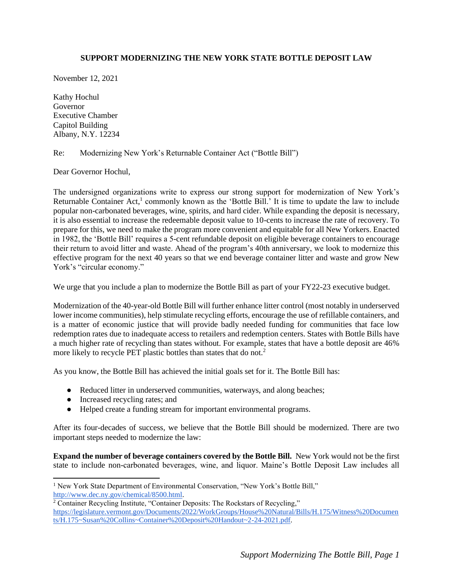#### **SUPPORT MODERNIZING THE NEW YORK STATE BOTTLE DEPOSIT LAW**

November 12, 2021

Kathy Hochul Governor Executive Chamber Capitol Building Albany, N.Y. 12234

#### Re: Modernizing New York's Returnable Container Act ("Bottle Bill")

Dear Governor Hochul,

The undersigned organizations write to express our strong support for modernization of New York's Returnable Container Act,<sup>1</sup> commonly known as the 'Bottle Bill.' It is time to update the law to include popular non-carbonated beverages, wine, spirits, and hard cider. While expanding the deposit is necessary, it is also essential to increase the redeemable deposit value to 10-cents to increase the rate of recovery. To prepare for this, we need to make the program more convenient and equitable for all New Yorkers. Enacted in 1982, the 'Bottle Bill' requires a 5-cent refundable deposit on eligible beverage containers to encourage their return to avoid litter and waste. Ahead of the program's 40th anniversary, we look to modernize this effective program for the next 40 years so that we end beverage container litter and waste and grow New York's "circular economy."

We urge that you include a plan to modernize the Bottle Bill as part of your FY22-23 executive budget.

Modernization of the 40-year-old Bottle Bill will further enhance litter control (most notably in underserved lower income communities), help stimulate recycling efforts, encourage the use of refillable containers, and is a matter of economic justice that will provide badly needed funding for communities that face low redemption rates due to inadequate access to retailers and redemption centers. States with Bottle Bills have a much higher rate of recycling than states without. For example, states that have a bottle deposit are 46% more likely to recycle PET plastic bottles than states that do not.<sup>2</sup>

As you know, the Bottle Bill has achieved the initial goals set for it. The Bottle Bill has:

- Reduced litter in underserved communities, waterways, and along beaches;
- Increased recycling rates; and
- Helped create a funding stream for important environmental programs.

After its four-decades of success, we believe that the Bottle Bill should be modernized. There are two important steps needed to modernize the law:

**Expand the number of beverage containers covered by the Bottle Bill.** New York would not be the first state to include non-carbonated beverages, wine, and liquor. Maine's Bottle Deposit Law includes all

```
<sup>2</sup> Container Recycling Institute, "Container Deposits: The Rockstars of Recycling,"
https://legislature.vermont.gov/Documents/2022/WorkGroups/House%20Natural/Bills/H.175/Witness%20Documen
ts/H.175~Susan%20Collins~Container%20Deposit%20Handout~2-24-2021.pdf.
```
<sup>&</sup>lt;sup>1</sup> New York State Department of Environmental Conservation, "New York's Bottle Bill," [http://www.dec.ny.gov/chemical/8500.html.](http://www.dec.ny.gov/chemical/8500.html)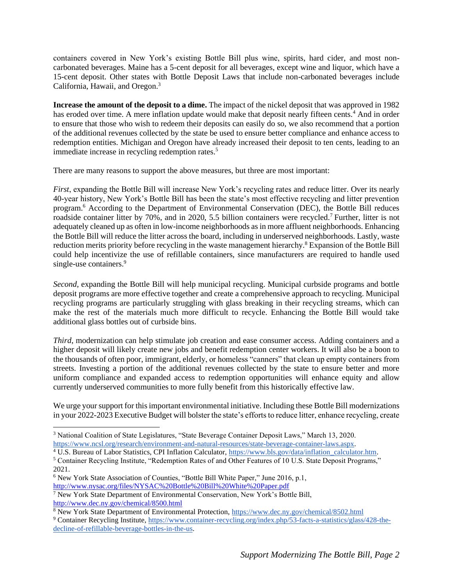containers covered in New York's existing Bottle Bill plus wine, spirits, hard cider, and most noncarbonated beverages. Maine has a 5-cent deposit for all beverages, except wine and liquor, which have a 15-cent deposit. Other states with Bottle Deposit Laws that include non-carbonated beverages include California, Hawaii, and Oregon.<sup>3</sup>

**Increase the amount of the deposit to a dime.** The impact of the nickel deposit that was approved in 1982 has eroded over time. A mere inflation update would make that deposit nearly fifteen cents.<sup>4</sup> And in order to ensure that those who wish to redeem their deposits can easily do so, we also recommend that a portion of the additional revenues collected by the state be used to ensure better compliance and enhance access to redemption entities. Michigan and Oregon have already increased their deposit to ten cents, leading to an immediate increase in recycling redemption rates.<sup>5</sup>

There are many reasons to support the above measures, but three are most important:

*First*, expanding the Bottle Bill will increase New York's recycling rates and reduce litter. Over its nearly 40-year history, New York's Bottle Bill has been the state's most effective recycling and litter prevention program.<sup>6</sup> According to the Department of Environmental Conservation (DEC), the Bottle Bill reduces roadside container litter by 70%, and in 2020, 5.5 billion containers were recycled.<sup>7</sup> Further, litter is not adequately cleaned up as often in low-income neighborhoods as in more affluent neighborhoods. Enhancing the Bottle Bill will reduce the litter across the board, including in underserved neighborhoods. Lastly, waste reduction merits priority before recycling in the waste management hierarchy.<sup>8</sup> Expansion of the Bottle Bill could help incentivize the use of refillable containers, since manufacturers are required to handle used single-use containers.<sup>9</sup>

*Second*, expanding the Bottle Bill will help municipal recycling. Municipal curbside programs and bottle deposit programs are more effective together and create a comprehensive approach to recycling. Municipal recycling programs are particularly struggling with glass breaking in their recycling streams, which can make the rest of the materials much more difficult to recycle. Enhancing the Bottle Bill would take additional glass bottles out of curbside bins.

*Third*, modernization can help stimulate job creation and ease consumer access. Adding containers and a higher deposit will likely create new jobs and benefit redemption center workers. It will also be a boon to the thousands of often poor, immigrant, elderly, or homeless "canners" that clean up empty containers from streets. Investing a portion of the additional revenues collected by the state to ensure better and more uniform compliance and expanded access to redemption opportunities will enhance equity and allow currently underserved communities to more fully benefit from this historically effective law.

We urge your support for this important environmental initiative. Including these Bottle Bill modernizations in your 2022-2023 Executive Budget will bolster the state's efforts to reduce litter, enhance recycling, create

<sup>3</sup> National Coalition of State Legislatures, "State Beverage Container Deposit Laws," March 13, 2020. [https://www.ncsl.org/research/environment-and-natural-resources/state-beverage-container-laws.aspx.](https://www.ncsl.org/research/environment-and-natural-resources/state-beverage-container-laws.aspx)

<sup>&</sup>lt;sup>4</sup> U.S. Bureau of Labor Statistics, CPI Inflation Calculator, [https://www.bls.gov/data/inflation\\_calculator.htm.](https://www.bls.gov/data/inflation_calculator.htm)

<sup>5</sup> Container Recycling Institute, "Redemption Rates of and Other Features of 10 U.S. State Deposit Programs," 2021.

<sup>6</sup> New York State Association of Counties, "Bottle Bill White Paper," June 2016, p.1,

<http://www.nysac.org/files/NYSAC%20Bottle%20Bill%20White%20Paper.pdf>

<sup>7</sup> New York State Department of Environmental Conservation, New York's Bottle Bill, <http://www.dec.ny.gov/chemical/8500.html>

<sup>&</sup>lt;sup>8</sup> New York State Department of Environmental Protection,<https://www.dec.ny.gov/chemical/8502.html>

<sup>9</sup> Container Recycling Institute, [https://www.container-recycling.org/index.php/53-facts-a-statistics/glass/428-the](https://www.container-recycling.org/index.php/53-facts-a-statistics/glass/428-the-decline-of-refillable-beverage-bottles-in-the-us)[decline-of-refillable-beverage-bottles-in-the-us.](https://www.container-recycling.org/index.php/53-facts-a-statistics/glass/428-the-decline-of-refillable-beverage-bottles-in-the-us)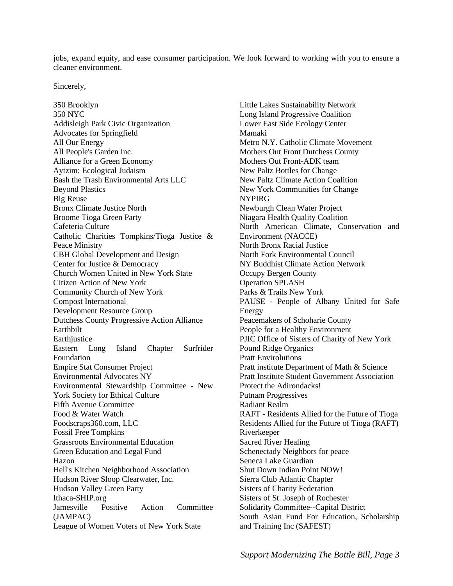jobs, expand equity, and ease consumer participation. We look forward to working with you to ensure a cleaner environment.

Sincerely,

350 Brooklyn 350 NYC Addisleigh Park Civic Organization Advocates for Springfield All Our Energy All People's Garden Inc. Alliance for a Green Economy Aytzim: Ecological Judaism Bash the Trash Environmental Arts LLC Beyond Plastics Big Reuse Bronx Climate Justice North Broome Tioga Green Party Cafeteria Culture Catholic Charities Tompkins/Tioga Justice & Peace Ministry CBH Global Development and Design Center for Justice & Democracy Church Women United in New York State Citizen Action of New York Community Church of New York Compost International Development Resource Group Dutchess County Progressive Action Alliance Earthbilt **Earthjustice** Eastern Long Island Chapter Surfrider Foundation Empire Stat Consumer Project Environmental Advocates NY Environmental Stewardship Committee - New York Society for Ethical Culture Fifth Avenue Committee Food & Water Watch Foodscraps360.com, LLC Fossil Free Tompkins Grassroots Environmental Education Green Education and Legal Fund Hazon Hell's Kitchen Neighborhood Association Hudson River Sloop Clearwater, Inc. Hudson Valley Green Party Ithaca-SHIP.org Jamesville Positive Action Committee (JAMPAC) League of Women Voters of New York State

Little Lakes Sustainability Network Long Island Progressive Coalition Lower East Side Ecology Center Mamaki Metro N.Y. Catholic Climate Movement Mothers Out Front Dutchess County Mothers Out Front-ADK team New Paltz Bottles for Change New Paltz Climate Action Coalition New York Communities for Change NYPIRG Newburgh Clean Water Project Niagara Health Quality Coalition North American Climate, Conservation and Environment (NACCE) North Bronx Racial Justice North Fork Environmental Council NY Buddhist Climate Action Network Occupy Bergen County Operation SPLASH Parks & Trails New York PAUSE - People of Albany United for Safe Energy Peacemakers of Schoharie County People for a Healthy Environment PJIC Office of Sisters of Charity of New York Pound Ridge Organics Pratt Envirolutions Pratt institute Department of Math & Science Pratt Institute Student Government Association Protect the Adirondacks! Putnam Progressives Radiant Realm RAFT - Residents Allied for the Future of Tioga Residents Allied for the Future of Tioga (RAFT) Riverkeeper Sacred River Healing Schenectady Neighbors for peace Seneca Lake Guardian Shut Down Indian Point NOW! Sierra Club Atlantic Chapter Sisters of Charity Federation Sisters of St. Joseph of Rochester Solidarity Committee--Capital District South Asian Fund For Education, Scholarship and Training Inc (SAFEST)